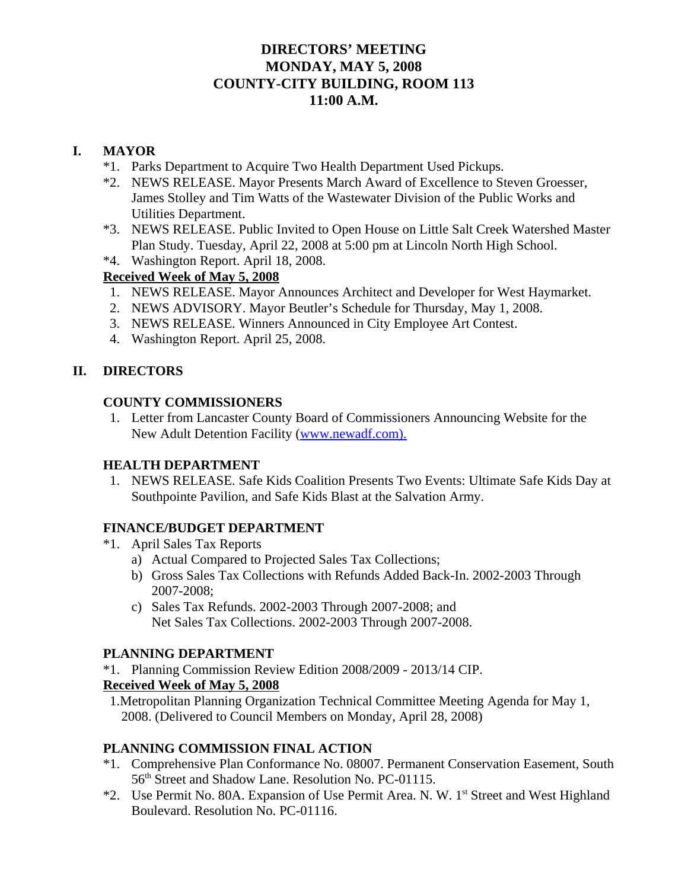# **DIRECTORS' MEETING MONDAY, MAY 5, 2008 COUNTY-CITY BUILDING, ROOM 113 11:00 A.M.**

# **I. MAYOR**

- \*1. Parks Department to Acquire Two Health Department Used Pickups.
- \*2. NEWS RELEASE. Mayor Presents March Award of Excellence to Steven Groesser, James Stolley and Tim Watts of the Wastewater Division of the Public Works and Utilities Department.
- \*3. NEWS RELEASE. Public Invited to Open House on Little Salt Creek Watershed Master Plan Study. Tuesday, April 22, 2008 at 5:00 pm at Lincoln North High School.
- \*4. Washington Report. April 18, 2008.

# **Received Week of May 5, 2008**

- 1. NEWS RELEASE. Mayor Announces Architect and Developer for West Haymarket.
- 2. NEWS ADVISORY. Mayor Beutler's Schedule for Thursday, May 1, 2008.
- 3. NEWS RELEASE. Winners Announced in City Employee Art Contest.
- 4. Washington Report. April 25, 2008.

# **II. DIRECTORS**

### **COUNTY COMMISSIONERS**

 1. Letter from Lancaster County Board of Commissioners Announcing Website for the New Adult Detention Facility (www.newadf.com).

## **HEALTH DEPARTMENT**

 1. NEWS RELEASE. Safe Kids Coalition Presents Two Events: Ultimate Safe Kids Day at Southpointe Pavilion, and Safe Kids Blast at the Salvation Army.

## **FINANCE/BUDGET DEPARTMENT**

- \*1. April Sales Tax Reports
	- a) Actual Compared to Projected Sales Tax Collections;
	- b) Gross Sales Tax Collections with Refunds Added Back-In. 2002-2003 Through 2007-2008;
	- c) Sales Tax Refunds. 2002-2003 Through 2007-2008; and Net Sales Tax Collections. 2002-2003 Through 2007-2008.

#### **PLANNING DEPARTMENT**

\*1. Planning Commission Review Edition 2008/2009 - 2013/14 CIP.

## **Received Week of May 5, 2008**

 1.Metropolitan Planning Organization Technical Committee Meeting Agenda for May 1, 2008. (Delivered to Council Members on Monday, April 28, 2008)

## **PLANNING COMMISSION FINAL ACTION**

- \*1. Comprehensive Plan Conformance No. 08007. Permanent Conservation Easement, South 56th Street and Shadow Lane. Resolution No. PC-01115.
- \*2. Use Permit No. 80A. Expansion of Use Permit Area. N. W. 1<sup>st</sup> Street and West Highland Boulevard. Resolution No. PC-01116.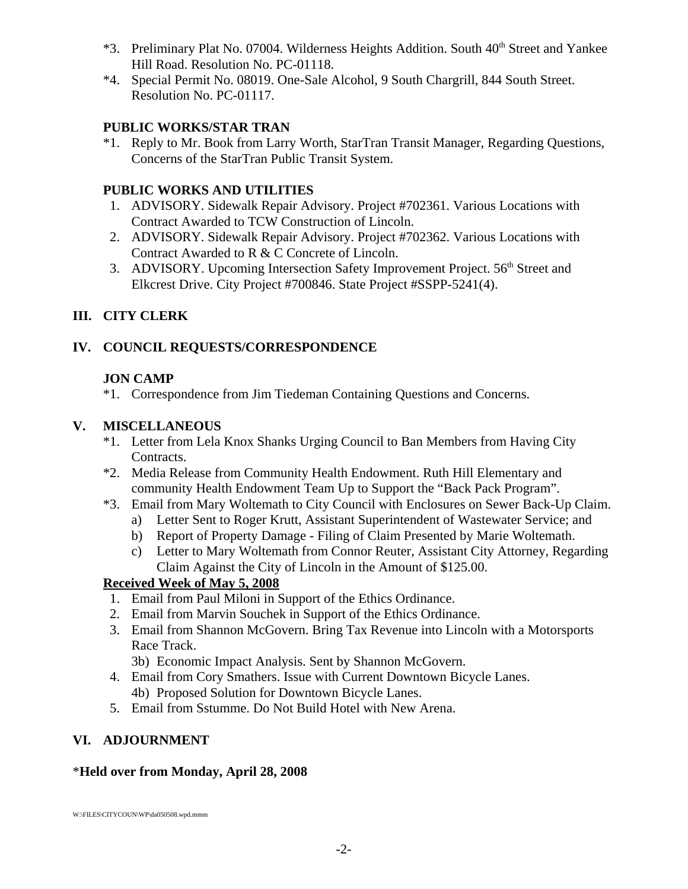- \*3. Preliminary Plat No. 07004. Wilderness Heights Addition. South 40<sup>th</sup> Street and Yankee Hill Road. Resolution No. PC-01118.
- \*4. Special Permit No. 08019. One-Sale Alcohol, 9 South Chargrill, 844 South Street. Resolution No. PC-01117.

# **PUBLIC WORKS/STAR TRAN**

\*1. Reply to Mr. Book from Larry Worth, StarTran Transit Manager, Regarding Questions, Concerns of the StarTran Public Transit System.

# **PUBLIC WORKS AND UTILITIES**

- 1. ADVISORY. Sidewalk Repair Advisory. Project #702361. Various Locations with Contract Awarded to TCW Construction of Lincoln.
- 2. ADVISORY. Sidewalk Repair Advisory. Project #702362. Various Locations with Contract Awarded to R & C Concrete of Lincoln.
- 3. ADVISORY. Upcoming Intersection Safety Improvement Project. 56<sup>th</sup> Street and Elkcrest Drive. City Project #700846. State Project #SSPP-5241(4).

# **III. CITY CLERK**

# **IV. COUNCIL REQUESTS/CORRESPONDENCE**

# **JON CAMP**

\*1. Correspondence from Jim Tiedeman Containing Questions and Concerns.

# **V. MISCELLANEOUS**

- \*1. Letter from Lela Knox Shanks Urging Council to Ban Members from Having City Contracts.
- \*2. Media Release from Community Health Endowment. Ruth Hill Elementary and community Health Endowment Team Up to Support the "Back Pack Program".
- \*3. Email from Mary Woltemath to City Council with Enclosures on Sewer Back-Up Claim.
	- a) Letter Sent to Roger Krutt, Assistant Superintendent of Wastewater Service; and
	- b) Report of Property Damage Filing of Claim Presented by Marie Woltemath.
	- c) Letter to Mary Woltemath from Connor Reuter, Assistant City Attorney, Regarding Claim Against the City of Lincoln in the Amount of \$125.00.

# **Received Week of May 5, 2008**

- 1. Email from Paul Miloni in Support of the Ethics Ordinance.
- 2. Email from Marvin Souchek in Support of the Ethics Ordinance.
- 3. Email from Shannon McGovern. Bring Tax Revenue into Lincoln with a Motorsports Race Track.

3b) Economic Impact Analysis. Sent by Shannon McGovern.

- 4. Email from Cory Smathers. Issue with Current Downtown Bicycle Lanes. 4b) Proposed Solution for Downtown Bicycle Lanes.
- 5. Email from Sstumme. Do Not Build Hotel with New Arena.

# **VI. ADJOURNMENT**

# \***Held over from Monday, April 28, 2008**

W:\FILES\CITYCOUN\WP\da050508.wpd.mmm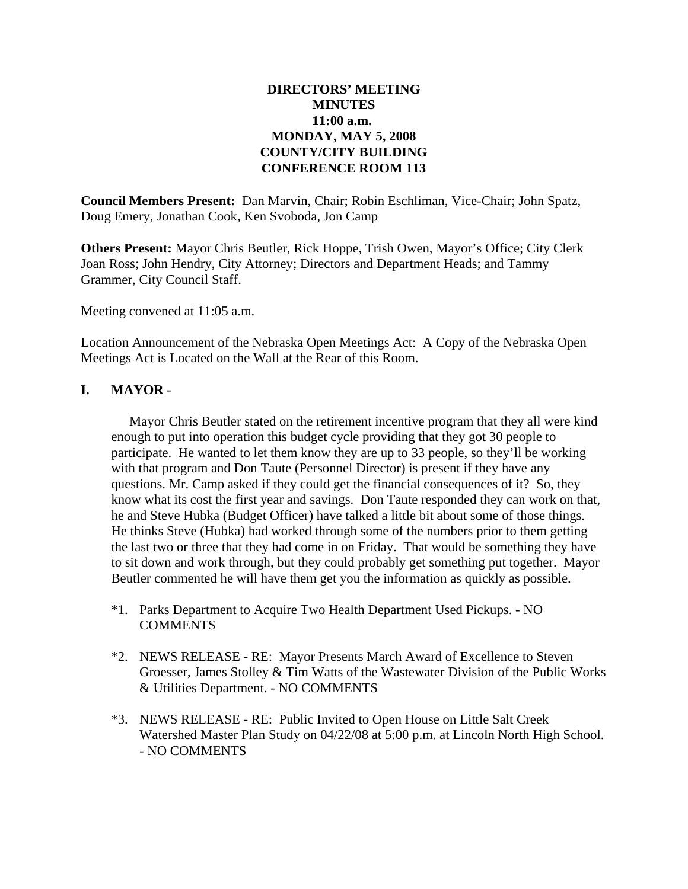## **DIRECTORS' MEETING MINUTES 11:00 a.m. MONDAY, MAY 5, 2008 COUNTY/CITY BUILDING CONFERENCE ROOM 113**

**Council Members Present:** Dan Marvin, Chair; Robin Eschliman, Vice-Chair; John Spatz, Doug Emery, Jonathan Cook, Ken Svoboda, Jon Camp

**Others Present:** Mayor Chris Beutler, Rick Hoppe, Trish Owen, Mayor's Office; City Clerk Joan Ross; John Hendry, City Attorney; Directors and Department Heads; and Tammy Grammer, City Council Staff.

Meeting convened at 11:05 a.m.

Location Announcement of the Nebraska Open Meetings Act: A Copy of the Nebraska Open Meetings Act is Located on the Wall at the Rear of this Room.

### **I. MAYOR** -

Mayor Chris Beutler stated on the retirement incentive program that they all were kind enough to put into operation this budget cycle providing that they got 30 people to participate. He wanted to let them know they are up to 33 people, so they'll be working with that program and Don Taute (Personnel Director) is present if they have any questions. Mr. Camp asked if they could get the financial consequences of it? So, they know what its cost the first year and savings. Don Taute responded they can work on that, he and Steve Hubka (Budget Officer) have talked a little bit about some of those things. He thinks Steve (Hubka) had worked through some of the numbers prior to them getting the last two or three that they had come in on Friday. That would be something they have to sit down and work through, but they could probably get something put together. Mayor Beutler commented he will have them get you the information as quickly as possible.

- \*1. Parks Department to Acquire Two Health Department Used Pickups. NO **COMMENTS**
- \*2. NEWS RELEASE RE: Mayor Presents March Award of Excellence to Steven Groesser, James Stolley & Tim Watts of the Wastewater Division of the Public Works & Utilities Department. - NO COMMENTS
- \*3. NEWS RELEASE RE: Public Invited to Open House on Little Salt Creek Watershed Master Plan Study on 04/22/08 at 5:00 p.m. at Lincoln North High School. - NO COMMENTS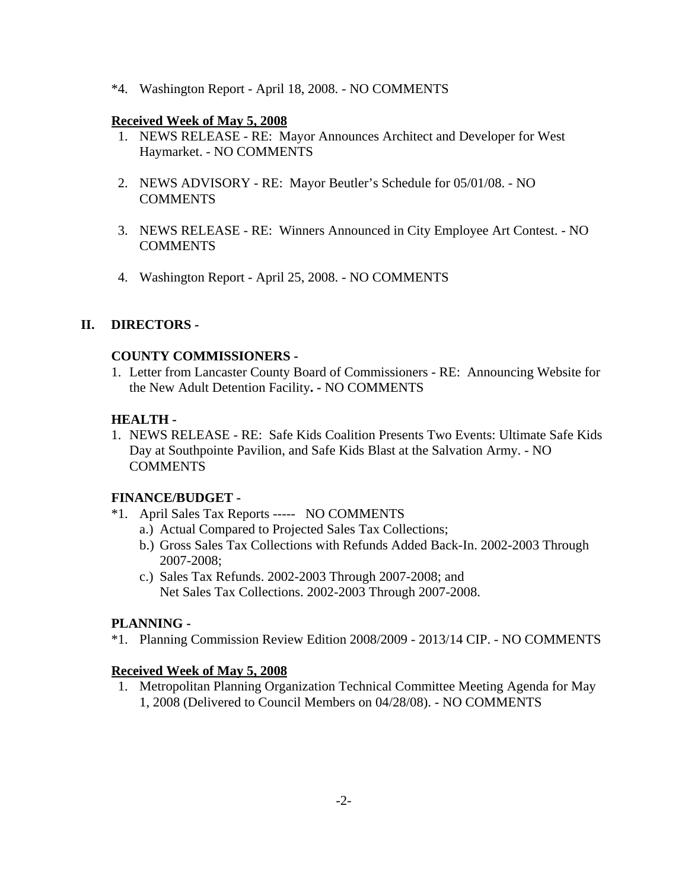\*4. Washington Report - April 18, 2008. - NO COMMENTS

### **Received Week of May 5, 2008**

- 1. NEWS RELEASE RE: Mayor Announces Architect and Developer for West Haymarket. - NO COMMENTS
- 2. NEWS ADVISORY RE: Mayor Beutler's Schedule for 05/01/08. NO COMMENTS
- 3. NEWS RELEASE RE: Winners Announced in City Employee Art Contest. NO COMMENTS
- 4. Washington Report April 25, 2008. NO COMMENTS

## **II. DIRECTORS -**

### **COUNTY COMMISSIONERS -**

1. Letter from Lancaster County Board of Commissioners - RE: Announcing Website for the New Adult Detention Facility**. -** NO COMMENTS

## **HEALTH -**

1. NEWS RELEASE - RE: Safe Kids Coalition Presents Two Events: Ultimate Safe Kids Day at Southpointe Pavilion, and Safe Kids Blast at the Salvation Army. - NO **COMMENTS** 

## **FINANCE/BUDGET -**

- \*1. April Sales Tax Reports ----- NO COMMENTS
	- a.) Actual Compared to Projected Sales Tax Collections;
	- b.) Gross Sales Tax Collections with Refunds Added Back-In. 2002-2003 Through 2007-2008;
	- c.) Sales Tax Refunds. 2002-2003 Through 2007-2008; and Net Sales Tax Collections. 2002-2003 Through 2007-2008.

## **PLANNING -**

\*1. Planning Commission Review Edition 2008/2009 - 2013/14 CIP. - NO COMMENTS

#### **Received Week of May 5, 2008**

 1. Metropolitan Planning Organization Technical Committee Meeting Agenda for May 1, 2008 (Delivered to Council Members on 04/28/08). - NO COMMENTS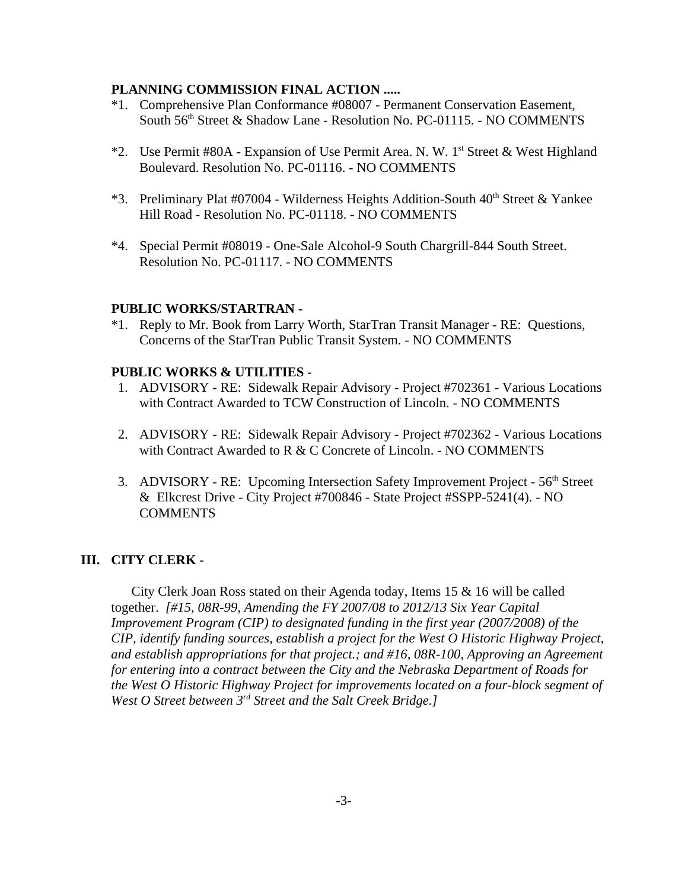#### **PLANNING COMMISSION FINAL ACTION .....**

- \*1. Comprehensive Plan Conformance #08007 Permanent Conservation Easement, South 56<sup>th</sup> Street & Shadow Lane - Resolution No. PC-01115. - NO COMMENTS
- \*2. Use Permit #80A Expansion of Use Permit Area. N. W. 1st Street & West Highland Boulevard. Resolution No. PC-01116. - NO COMMENTS
- \*3. Preliminary Plat #07004 Wilderness Heights Addition-South 40<sup>th</sup> Street & Yankee Hill Road - Resolution No. PC-01118. - NO COMMENTS
- \*4. Special Permit #08019 One-Sale Alcohol-9 South Chargrill-844 South Street. Resolution No. PC-01117. - NO COMMENTS

#### **PUBLIC WORKS/STARTRAN -**

\*1. Reply to Mr. Book from Larry Worth, StarTran Transit Manager - RE: Questions, Concerns of the StarTran Public Transit System. - NO COMMENTS

#### **PUBLIC WORKS & UTILITIES -**

- 1. ADVISORY RE: Sidewalk Repair Advisory Project #702361 Various Locations with Contract Awarded to TCW Construction of Lincoln. - NO COMMENTS
- 2. ADVISORY RE: Sidewalk Repair Advisory Project #702362 Various Locations with Contract Awarded to R & C Concrete of Lincoln. - NO COMMENTS
- 3. ADVISORY RE: Upcoming Intersection Safety Improvement Project 56<sup>th</sup> Street & Elkcrest Drive - City Project #700846 - State Project #SSPP-5241(4). - NO **COMMENTS**

#### **III. CITY CLERK -**

City Clerk Joan Ross stated on their Agenda today, Items 15 & 16 will be called together. *[#15, 08R-99, Amending the FY 2007/08 to 2012/13 Six Year Capital Improvement Program (CIP) to designated funding in the first year (2007/2008) of the CIP, identify funding sources, establish a project for the West O Historic Highway Project, and establish appropriations for that project.; and #16, 08R-100, Approving an Agreement for entering into a contract between the City and the Nebraska Department of Roads for the West O Historic Highway Project for improvements located on a four-block segment of West O Street between 3rd Street and the Salt Creek Bridge.]*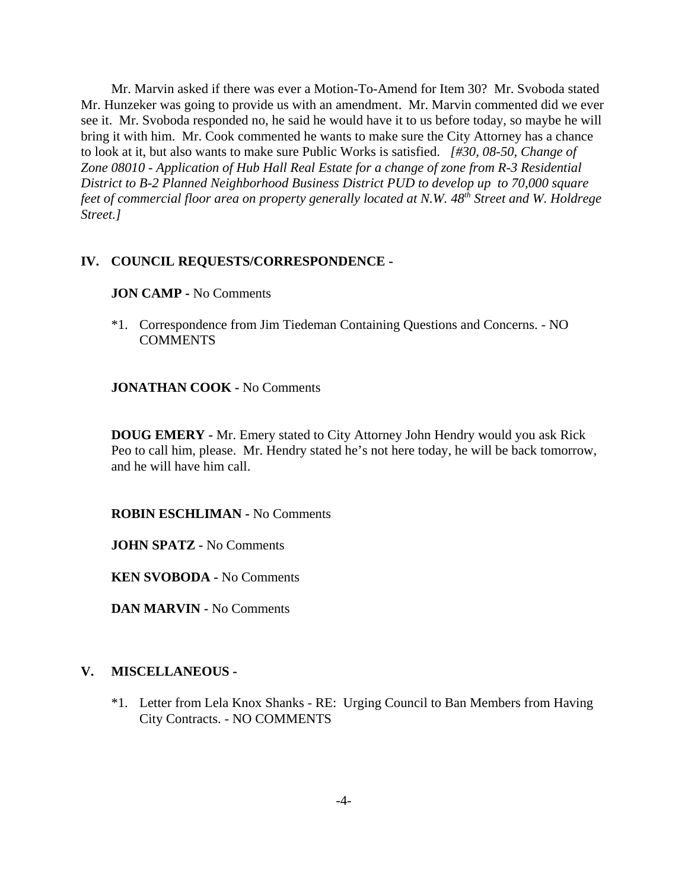Mr. Marvin asked if there was ever a Motion-To-Amend for Item 30? Mr. Svoboda stated Mr. Hunzeker was going to provide us with an amendment. Mr. Marvin commented did we ever see it. Mr. Svoboda responded no, he said he would have it to us before today, so maybe he will bring it with him. Mr. Cook commented he wants to make sure the City Attorney has a chance to look at it, but also wants to make sure Public Works is satisfied. *[#30, 08-50, Change of Zone 08010 - Application of Hub Hall Real Estate for a change of zone from R-3 Residential District to B-2 Planned Neighborhood Business District PUD to develop up to 70,000 square feet of commercial floor area on property generally located at N.W. 48th Street and W. Holdrege Street.]*

#### **IV. COUNCIL REQUESTS/CORRESPONDENCE -**

#### **JON CAMP -** No Comments

\*1. Correspondence from Jim Tiedeman Containing Questions and Concerns. - NO **COMMENTS** 

#### **JONATHAN COOK -** No Comments

**DOUG EMERY -** Mr. Emery stated to City Attorney John Hendry would you ask Rick Peo to call him, please. Mr. Hendry stated he's not here today, he will be back tomorrow, and he will have him call.

**ROBIN ESCHLIMAN -** No Comments

**JOHN SPATZ -** No Comments

**KEN SVOBODA -** No Comments

**DAN MARVIN -** No Comments

#### **V. MISCELLANEOUS -**

\*1. Letter from Lela Knox Shanks - RE: Urging Council to Ban Members from Having City Contracts. - NO COMMENTS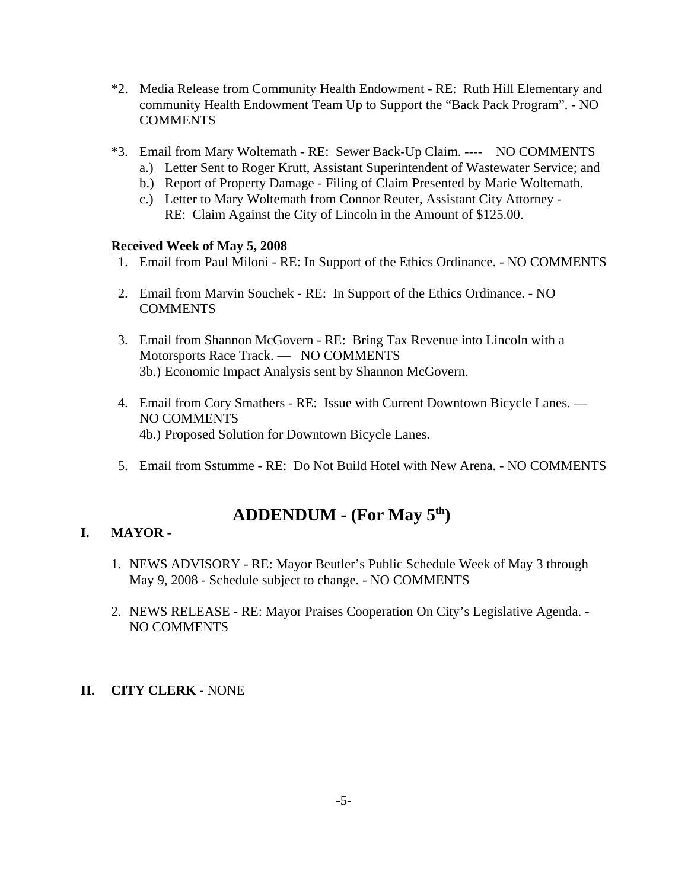- \*2. Media Release from Community Health Endowment RE: Ruth Hill Elementary and community Health Endowment Team Up to Support the "Back Pack Program". - NO COMMENTS
- \*3. Email from Mary Woltemath RE: Sewer Back-Up Claim. ---- NO COMMENTS
	- a.) Letter Sent to Roger Krutt, Assistant Superintendent of Wastewater Service; and
	- b.) Report of Property Damage Filing of Claim Presented by Marie Woltemath.
	- c.) Letter to Mary Woltemath from Connor Reuter, Assistant City Attorney RE: Claim Against the City of Lincoln in the Amount of \$125.00.

### **Received Week of May 5, 2008**

- 1. Email from Paul Miloni RE: In Support of the Ethics Ordinance. NO COMMENTS
- 2. Email from Marvin Souchek RE: In Support of the Ethics Ordinance. NO COMMENTS
- 3. Email from Shannon McGovern RE: Bring Tax Revenue into Lincoln with a Motorsports Race Track. — NO COMMENTS 3b.) Economic Impact Analysis sent by Shannon McGovern.
- 4. Email from Cory Smathers RE: Issue with Current Downtown Bicycle Lanes. NO COMMENTS 4b.) Proposed Solution for Downtown Bicycle Lanes.
- 5. Email from Sstumme RE: Do Not Build Hotel with New Arena. NO COMMENTS

# **ADDENDUM - (For May 5th)**

## **I. MAYOR -**

- 1. NEWS ADVISORY RE: Mayor Beutler's Public Schedule Week of May 3 through May 9, 2008 - Schedule subject to change. - NO COMMENTS
- 2. NEWS RELEASE RE: Mayor Praises Cooperation On City's Legislative Agenda. NO COMMENTS

#### **II. CITY CLERK -** NONE